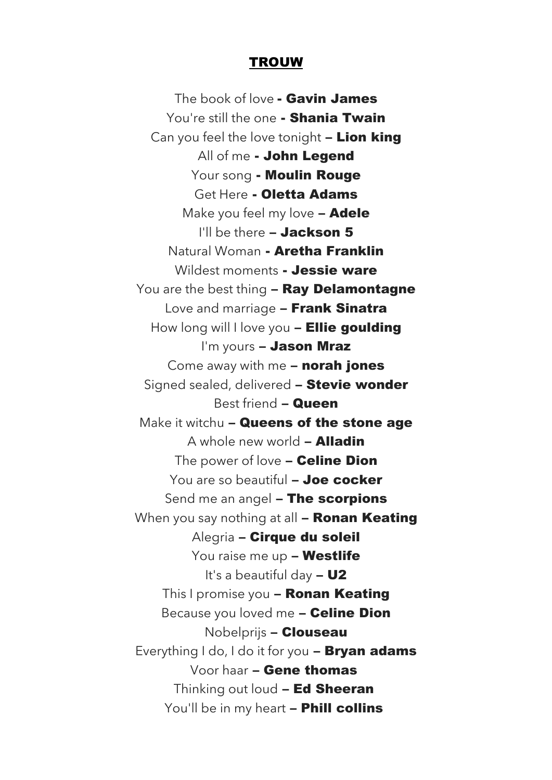## TROUW

The book of love - Gavin James You're still the one - Shania Twain Can you feel the love tonight  $-$  Lion king All of me - John Legend Your song - Moulin Rouge Get Here - Oletta Adams Make you feel my love - **Adele** I'll be there  $-$  Jackson 5 Natural Woman - Aretha Franklin Wildest moments - Jessie ware You are the best thing - Ray Delamontagne Love and marriage - Frank Sinatra How long will I love you - **Ellie goulding** I'm yours – Jason Mraz Come away with me  $-$  norah jones Signed sealed, delivered - Stevie wonder Best friend – Queen Make it witchu - Queens of the stone age A whole new world – Alladin The power of love - **Celine Dion** You are so beautiful - Joe cocker Send me an angel - The scorpions When you say nothing at all  $-$  **Ronan Keating** Alegria – Cirque du soleil You raise me up - Westlife It's a beautiful day  $-$  U2 This I promise you  $-$  **Ronan Keating** Because you loved me - Celine Dion Nobelprijs – Clouseau Everything  $Ido, Ido$  it for you  $-$  Bryan adams Voor haar – Gene thomas Thinking out loud - Ed Sheeran You'll be in my heart - Phill collins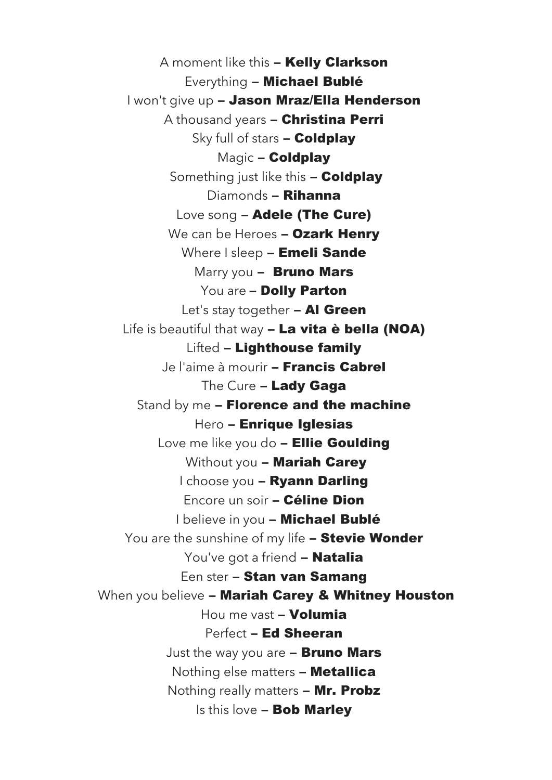A moment like this - Kelly Clarkson Everything – Michael Bublé I won't give up - Jason Mraz/Ella Henderson A thousand years - Christina Perri Sky full of stars - Coldplay Magic - Coldplav Something just like this - **Coldplay** Diamonds – Rihanna Love song – Adele (The Cure) We can be Heroes - Ozark Henry Where I sleep - Emeli Sande Marry you - Bruno Mars You are - Dolly Parton Let's stay together - Al Green Life is beautiful that way  $-$  La vita è bella (NOA) Lifted - Lighthouse family Je l'aime à mourir - Francis Cabrel The Cure - Lady Gaga Stand by me - Florence and the machine Hero – Enrique Iglesias Love me like you do - Ellie Goulding Without you - Mariah Carey I choose you – Ryann Darling Encore un soir – Céline Dion I believe in you - Michael Bublé You are the sunshine of my life **– Stevie Wonder** You've got a friend - **Natalia** Een ster – Stan van Samang When you believe - Mariah Carey & Whitney Houston Hou me vast – Volumia Perfect – Ed Sheeran Just the way you are - Bruno Mars Nothing else matters – Metallica Nothing really matters - Mr. Probz Is this love – Bob Marley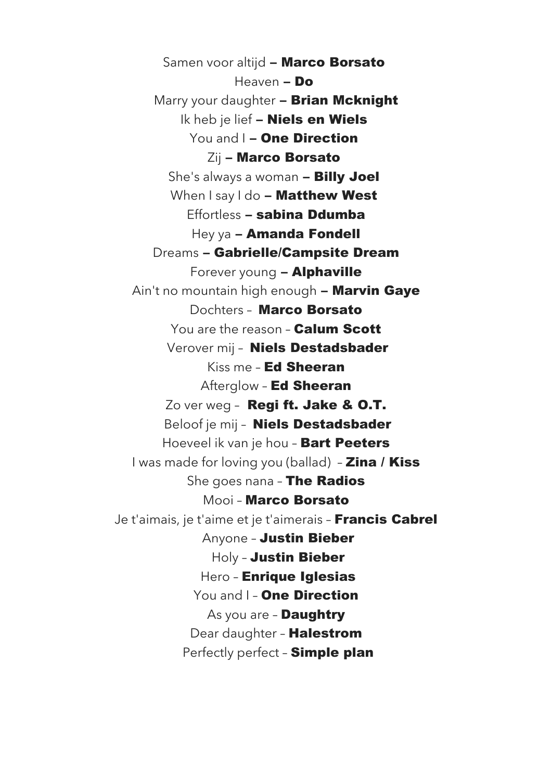Samen voor altijd - Marco Borsato Heaven - Do Marry your daughter - Brian Mcknight Ik heb je lief - Niels en Wiels You and I - One Direction Zij – Marco Borsato She's always a woman - Billy Joel When I say I do - Matthew West Effortless – sabina Ddumba Hey ya – Amanda Fondell Dreams – Gabrielle/Campsite Dream Forever young - **Alphaville** Ain't no mountain high enough - Marvin Gaye Dochters – Marco Borsato You are the reason - **Calum Scott**  Verover mij – Niels Destadsbader Kiss me – Ed Sheeran Afterglow - Ed Sheeran Zo ver weg - Regi ft. Jake & O.T. Beloof je mij – Niels Destadsbader Hoeveel ik van je hou - **Bart Peeters** I was made for loving you (ballad) - Zina / Kiss She goes nana - The Radios Mooi – Marco Borsato Je t'aimais, je t'aime et je t'aimerais - Francis Cabrel Anyone – Justin Bieber Holy – Justin Bieber Hero – Enrique Iglesias You and I - **One Direction** As you are - **Daughtry** Dear daughter - Halestrom Perfectly perfect - **Simple plan**